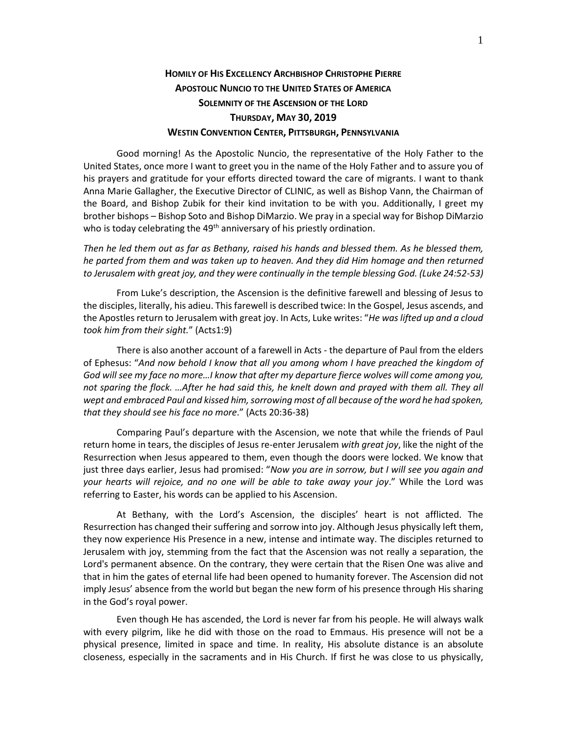## **HOMILY OF HIS EXCELLENCY ARCHBISHOP CHRISTOPHE PIERRE APOSTOLIC NUNCIO TO THE UNITED STATES OF AMERICA SOLEMNITY OF THE ASCENSION OF THE LORD THURSDAY, MAY 30, 2019 WESTIN CONVENTION CENTER, PITTSBURGH, PENNSYLVANIA**

Good morning! As the Apostolic Nuncio, the representative of the Holy Father to the United States, once more I want to greet you in the name of the Holy Father and to assure you of his prayers and gratitude for your efforts directed toward the care of migrants. I want to thank Anna Marie Gallagher, the Executive Director of CLINIC, as well as Bishop Vann, the Chairman of the Board, and Bishop Zubik for their kind invitation to be with you. Additionally, I greet my brother bishops – Bishop Soto and Bishop DiMarzio. We pray in a special way for Bishop DiMarzio who is today celebrating the  $49<sup>th</sup>$  anniversary of his priestly ordination.

*Then he led them out as far as Bethany, raised his hands and blessed them. As he blessed them, he parted from them and was taken up to heaven. And they did Him homage and then returned to Jerusalem with great joy, and they were continually in the temple blessing God. (Luke 24:52-53)*

From Luke's description, the Ascension is the definitive farewell and blessing of Jesus to the disciples, literally, his adieu. This farewell is described twice: In the Gospel, Jesus ascends, and the Apostles return to Jerusalem with great joy. In Acts, Luke writes: "*He was lifted up and a cloud took him from their sight.*" (Acts1:9)

There is also another account of a farewell in Acts - the departure of Paul from the elders of Ephesus: "*And now behold I know that all you among whom I have preached the kingdom of God will see my face no more…I know that after my departure fierce wolves will come among you,*  not sparing the flock. …After he had said this, he knelt down and prayed with them all. They all *wept and embraced Paul and kissed him, sorrowing most of all because of the word he had spoken, that they should see his face no more*." (Acts 20:36-38)

Comparing Paul's departure with the Ascension, we note that while the friends of Paul return home in tears, the disciples of Jesus re-enter Jerusalem *with great joy*, like the night of the Resurrection when Jesus appeared to them, even though the doors were locked. We know that just three days earlier, Jesus had promised: "*Now you are in sorrow, but I will see you again and your hearts will rejoice, and no one will be able to take away your joy*." While the Lord was referring to Easter, his words can be applied to his Ascension.

At Bethany, with the Lord's Ascension, the disciples' heart is not afflicted. The Resurrection has changed their suffering and sorrow into joy. Although Jesus physically left them, they now experience His Presence in a new, intense and intimate way. The disciples returned to Jerusalem with joy, stemming from the fact that the Ascension was not really a separation, the Lord's permanent absence. On the contrary, they were certain that the Risen One was alive and that in him the gates of eternal life had been opened to humanity forever. The Ascension did not imply Jesus' absence from the world but began the new form of his presence through His sharing in the God's royal power.

Even though He has ascended, the Lord is never far from his people. He will always walk with every pilgrim, like he did with those on the road to Emmaus. His presence will not be a physical presence, limited in space and time. In reality, His absolute distance is an absolute closeness, especially in the sacraments and in His Church. If first he was close to us physically,